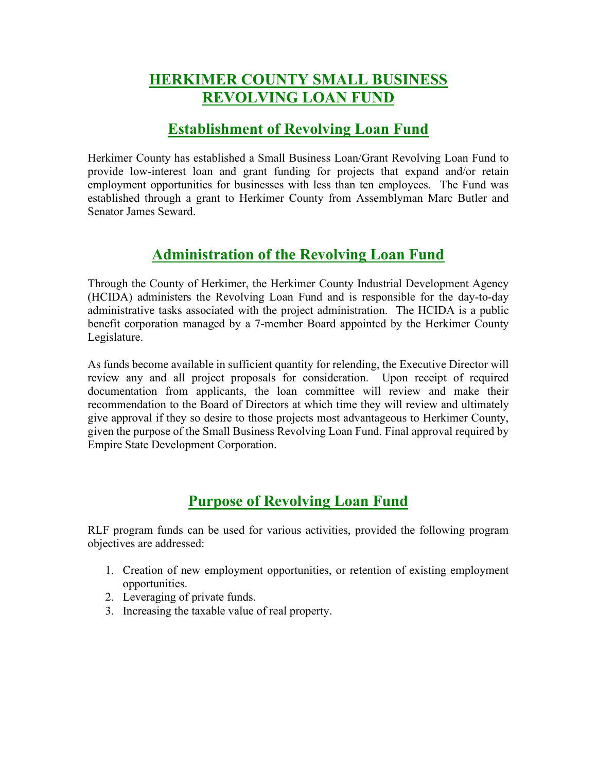# **HERKIMER COUNTY SMALL BUSINESS REVOLVING LOAN FUND**

## **Establishment of Revolving Loan Fund**

Herkimer County has established a Small Business Loan/Grant Revolving Loan Fund to provide low-interest loan and grant funding for projects that expand and/or retain employment opportunities for businesses with less than ten employees. The Fund was established through a grant to Herkimer County from Assemblyman Marc Butler and Senator James Seward.

# **Administration of the Revolving Loan Fund**

Through the County of Herkimer, the Herkimer County Industrial Development Agency (HCIDA) administers the Revolving Loan Fund and is responsible for the day-to-day administrative tasks associated with the project administration. The HCIDA is a public benefit corporation managed by a 7-member Board appointed by the Herkimer County Legislature.

As funds become available in sufficient quantity for relending, the Executive Director will review any and all project proposals for consideration. Upon receipt of required documentation from applicants, the loan committee will review and make their recommendation to the Board of Directors at which time they will review and ultimately give approval if they so desire to those projects most advantageous to Herkimer County, given the purpose of the Small Business Revolving Loan Fund. Final approval required by Empire State Development Corporation.

# **Purpose of Revolving Loan Fund**

RLF program funds can be used for various activities, provided the following program objectives are addressed:

- 1. Creation of new employment opportunities, or retention of existing employment opportunities.
- 2. Leveraging of private funds.
- 3. Increasing the taxable value of real property.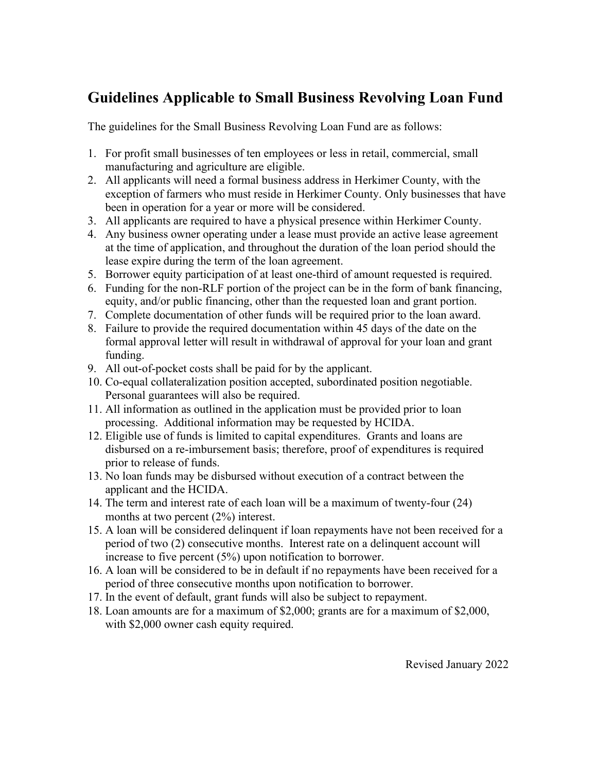# **Guidelines Applicable to Small Business Revolving Loan Fund**

The guidelines for the Small Business Revolving Loan Fund are as follows:

- 1. For profit small businesses of ten employees or less in retail, commercial, small manufacturing and agriculture are eligible.
- 2. All applicants will need a formal business address in Herkimer County, with the exception of farmers who must reside in Herkimer County. Only businesses that have been in operation for a year or more will be considered.
- 3. All applicants are required to have a physical presence within Herkimer County.
- 4. Any business owner operating under a lease must provide an active lease agreement at the time of application, and throughout the duration of the loan period should the lease expire during the term of the loan agreement.
- 5. Borrower equity participation of at least one-third of amount requested is required.
- 6. Funding for the non-RLF portion of the project can be in the form of bank financing, equity, and/or public financing, other than the requested loan and grant portion.
- 7. Complete documentation of other funds will be required prior to the loan award.
- 8. Failure to provide the required documentation within 45 days of the date on the formal approval letter will result in withdrawal of approval for your loan and grant funding.
- 9. All out-of-pocket costs shall be paid for by the applicant.
- 10. Co-equal collateralization position accepted, subordinated position negotiable. Personal guarantees will also be required.
- 11. All information as outlined in the application must be provided prior to loan processing. Additional information may be requested by HCIDA.
- 12. Eligible use of funds is limited to capital expenditures. Grants and loans are disbursed on a re-imbursement basis; therefore, proof of expenditures is required prior to release of funds.
- 13. No loan funds may be disbursed without execution of a contract between the applicant and the HCIDA.
- 14. The term and interest rate of each loan will be a maximum of twenty-four (24) months at two percent (2%) interest.
- 15. A loan will be considered delinquent if loan repayments have not been received for a period of two (2) consecutive months. Interest rate on a delinquent account will increase to five percent (5%) upon notification to borrower.
- 16. A loan will be considered to be in default if no repayments have been received for a period of three consecutive months upon notification to borrower.
- 17. In the event of default, grant funds will also be subject to repayment.
- 18. Loan amounts are for a maximum of \$2,000; grants are for a maximum of \$2,000, with \$2,000 owner cash equity required.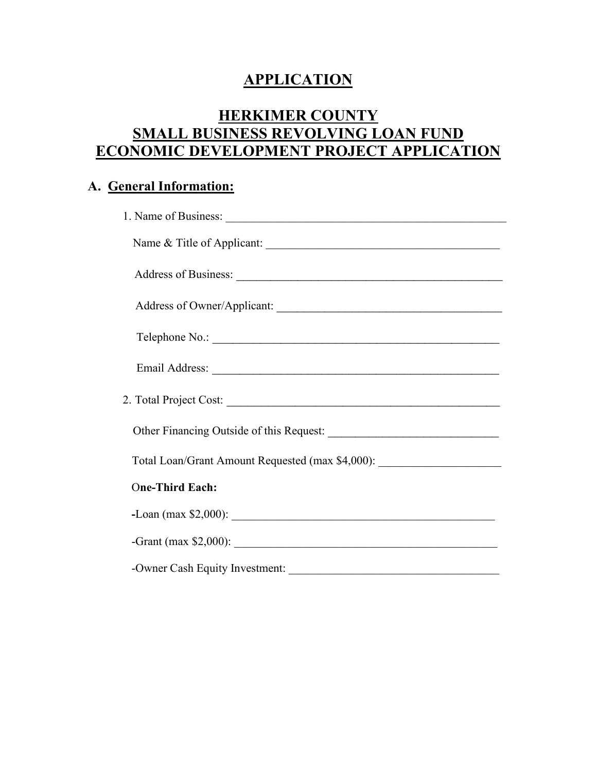# **APPLICATION**

# **HERKIMER COUNTY SMALL BUSINESS REVOLVING LOAN FUND ECONOMIC DEVELOPMENT PROJECT APPLICATION**

### **A. General Information:**

| Name & Title of Applicant:                                                        |
|-----------------------------------------------------------------------------------|
|                                                                                   |
| Address of Owner/Applicant:                                                       |
| Telephone No.:                                                                    |
|                                                                                   |
|                                                                                   |
|                                                                                   |
| Total Loan/Grant Amount Requested (max \$4,000): ________________________________ |
| <b>One-Third Each:</b>                                                            |
|                                                                                   |
|                                                                                   |
| -Owner Cash Equity Investment:                                                    |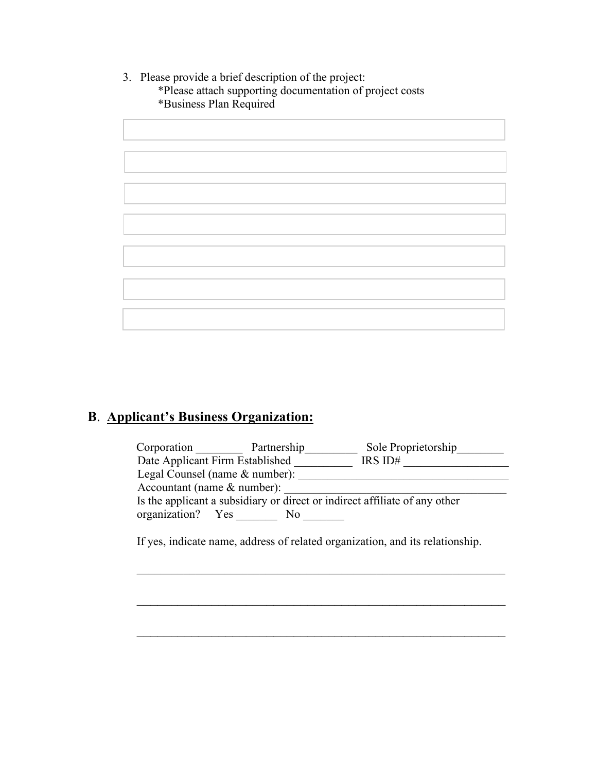3. Please provide a brief description of the project: \*Please attach supporting documentation of project costs \*Business Plan Required

#### **B**. **Applicant's Business Organization:**

| Corporation                     | Partnership | Sole Proprietorship                                                        |
|---------------------------------|-------------|----------------------------------------------------------------------------|
| Date Applicant Firm Established |             | IRS ID#                                                                    |
| Legal Counsel (name & number):  |             |                                                                            |
| Accountant (name & number):     |             |                                                                            |
|                                 |             | Is the applicant a subsidiary or direct or indirect affiliate of any other |
| organization? Yes               | No          |                                                                            |
|                                 |             |                                                                            |

\_\_\_\_\_\_\_\_\_\_\_\_\_\_\_\_\_\_\_\_\_\_\_\_\_\_\_\_\_\_\_\_\_\_\_\_\_\_\_\_\_\_\_\_\_\_\_\_\_\_\_\_\_\_\_\_\_\_\_\_\_\_\_

\_\_\_\_\_\_\_\_\_\_\_\_\_\_\_\_\_\_\_\_\_\_\_\_\_\_\_\_\_\_\_\_\_\_\_\_\_\_\_\_\_\_\_\_\_\_\_\_\_\_\_\_\_\_

\_\_\_\_\_\_\_\_\_\_\_\_\_\_\_\_\_\_\_\_\_\_\_\_\_\_\_\_\_\_\_\_\_\_\_\_\_\_\_\_\_\_\_\_\_\_\_\_\_\_\_\_\_\_

If yes, indicate name, address of related organization, and its relationship.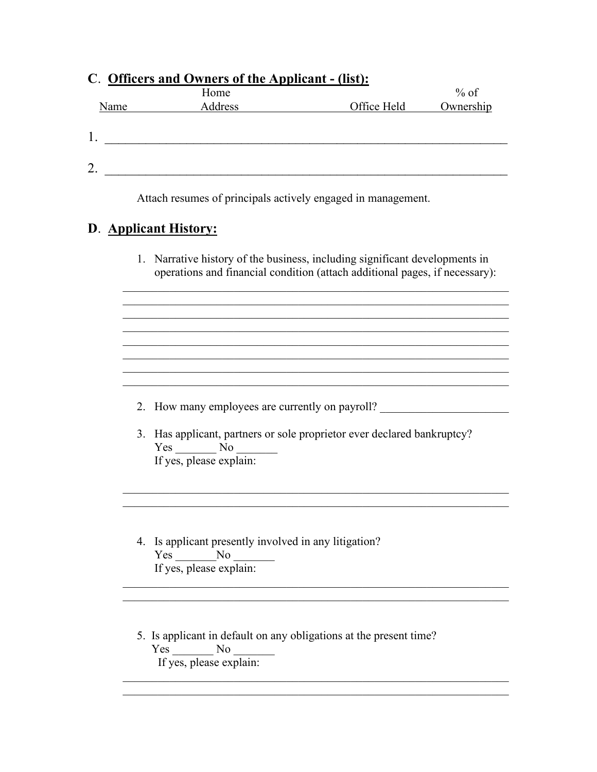|      | C. Officers and Owners of the Applicant - (list):<br>Home                                                                                                  |             | $%$ of    |
|------|------------------------------------------------------------------------------------------------------------------------------------------------------------|-------------|-----------|
| Name | Address                                                                                                                                                    | Office Held | Ownership |
|      |                                                                                                                                                            |             |           |
|      |                                                                                                                                                            |             |           |
|      |                                                                                                                                                            |             |           |
|      | 2. $\overline{\phantom{a}}$                                                                                                                                |             |           |
|      | Attach resumes of principals actively engaged in management.                                                                                               |             |           |
|      |                                                                                                                                                            |             |           |
|      | D. Applicant History:                                                                                                                                      |             |           |
|      |                                                                                                                                                            |             |           |
|      | 1. Narrative history of the business, including significant developments in<br>operations and financial condition (attach additional pages, if necessary): |             |           |
|      |                                                                                                                                                            |             |           |
|      |                                                                                                                                                            |             |           |
|      |                                                                                                                                                            |             |           |
|      |                                                                                                                                                            |             |           |
|      |                                                                                                                                                            |             |           |
|      |                                                                                                                                                            |             |           |
|      |                                                                                                                                                            |             |           |
|      | 2. How many employees are currently on payroll?                                                                                                            |             |           |
|      |                                                                                                                                                            |             |           |
|      | 3. Has applicant, partners or sole proprietor ever declared bankruptcy?                                                                                    |             |           |
|      | $Yes$ No $\_\_$<br>If yes, please explain:                                                                                                                 |             |           |
|      |                                                                                                                                                            |             |           |
|      |                                                                                                                                                            |             |           |
|      |                                                                                                                                                            |             |           |
|      |                                                                                                                                                            |             |           |
|      | 1. Is evaluated assembly involved in ear litigation?                                                                                                       |             |           |

- 4. Is applicant presently involved in any litigation? Yes \_\_\_\_\_\_\_\_No \_ If yes, please explain:
- 5. Is applicant in default on any obligations at the present time? Yes No No If yes, please explain:

 $\mathcal{L}_\text{G}$  , and the contribution of the contribution of the contribution of the contribution of the contribution of the contribution of the contribution of the contribution of the contribution of the contribution of t

 $\mathcal{L}_\text{G}$  , and the contribution of the contribution of the contribution of the contribution of the contribution of the contribution of the contribution of the contribution of the contribution of the contribution of t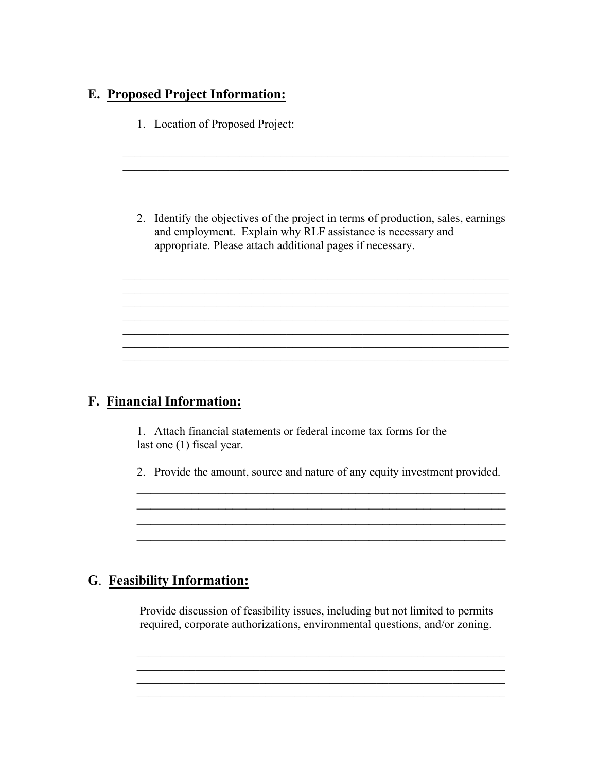### **E. Proposed Project Information:**

1. Location of Proposed Project:

2. Identify the objectives of the project in terms of production, sales, earnings and employment. Explain why RLF assistance is necessary and appropriate. Please attach additional pages if necessary.

 $\mathcal{L}_\text{G}$ 

 $\mathcal{L}_\text{G}$ 

 $\mathcal{L}_\text{G}$ 

 $\mathcal{L}_\text{G}$  , and the contribution of the contribution of the contribution of the contribution of the contribution of the contribution of the contribution of the contribution of the contribution of the contribution of t  $\mathcal{L}_\text{G}$  , and the contribution of the contribution of the contribution of the contribution of the contribution of the contribution of the contribution of the contribution of the contribution of the contribution of t

### **F. Financial Information:**

1. Attach financial statements or federal income tax forms for the last one (1) fiscal year.

2. Provide the amount, source and nature of any equity investment provided. \_\_\_\_\_\_\_\_\_\_\_\_\_\_\_\_\_\_\_\_\_\_\_\_\_\_\_\_\_\_\_\_\_\_\_\_\_\_\_\_\_\_\_\_\_\_\_\_\_\_\_\_\_\_

\_\_\_\_\_\_\_\_\_\_\_\_\_\_\_\_\_\_\_\_\_\_\_\_\_\_\_\_\_\_\_\_\_\_\_\_\_\_\_\_\_\_\_\_\_\_\_\_\_\_\_\_\_\_ \_\_\_\_\_\_\_\_\_\_\_\_\_\_\_\_\_\_\_\_\_\_\_\_\_\_\_\_\_\_\_\_\_\_\_\_\_\_\_\_\_\_\_\_\_\_\_\_\_\_\_\_\_\_ \_\_\_\_\_\_\_\_\_\_\_\_\_\_\_\_\_\_\_\_\_\_\_\_\_\_\_\_\_\_\_\_\_\_\_\_\_\_\_\_\_\_\_\_\_\_\_\_\_\_\_\_\_\_

### **G**. **Feasibility Information:**

 Provide discussion of feasibility issues, including but not limited to permits required, corporate authorizations, environmental questions, and/or zoning.

\_\_\_\_\_\_\_\_\_\_\_\_\_\_\_\_\_\_\_\_\_\_\_\_\_\_\_\_\_\_\_\_\_\_\_\_\_\_\_\_\_\_\_\_\_\_\_\_\_\_\_\_\_\_\_\_\_\_\_\_\_\_\_

\_\_\_\_\_\_\_\_\_\_\_\_\_\_\_\_\_\_\_\_\_\_\_\_\_\_\_\_\_\_\_\_\_\_\_\_\_\_\_\_\_\_\_\_\_\_\_\_\_\_\_\_\_\_\_\_\_\_\_\_\_\_\_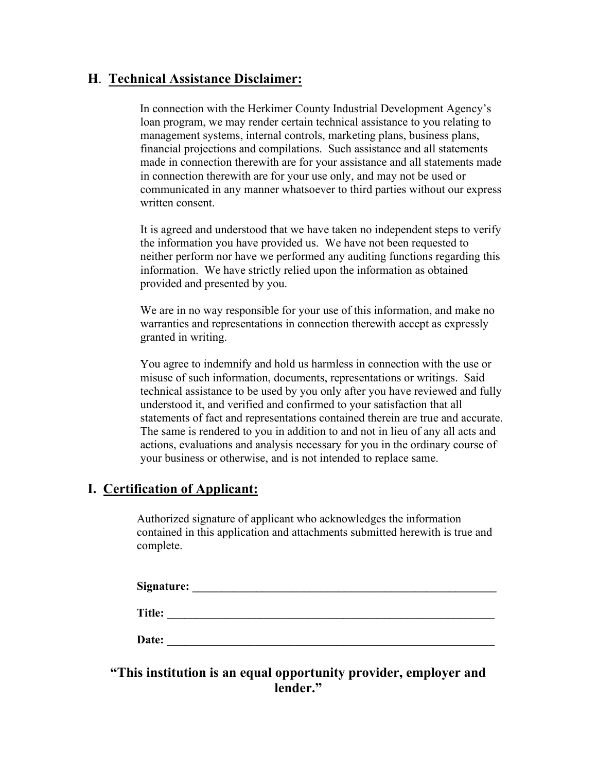#### **H**. **Technical Assistance Disclaimer:**

 In connection with the Herkimer County Industrial Development Agency's loan program, we may render certain technical assistance to you relating to management systems, internal controls, marketing plans, business plans, financial projections and compilations. Such assistance and all statements made in connection therewith are for your assistance and all statements made in connection therewith are for your use only, and may not be used or communicated in any manner whatsoever to third parties without our express written consent.

It is agreed and understood that we have taken no independent steps to verify the information you have provided us. We have not been requested to neither perform nor have we performed any auditing functions regarding this information. We have strictly relied upon the information as obtained provided and presented by you.

We are in no way responsible for your use of this information, and make no warranties and representations in connection therewith accept as expressly granted in writing.

You agree to indemnify and hold us harmless in connection with the use or misuse of such information, documents, representations or writings. Said technical assistance to be used by you only after you have reviewed and fully understood it, and verified and confirmed to your satisfaction that all statements of fact and representations contained therein are true and accurate. The same is rendered to you in addition to and not in lieu of any all acts and actions, evaluations and analysis necessary for you in the ordinary course of your business or otherwise, and is not intended to replace same.

#### **I. Certification of Applicant:**

Authorized signature of applicant who acknowledges the information contained in this application and attachments submitted herewith is true and complete.

| <b>Signature:</b> |  |  |
|-------------------|--|--|
| Title:            |  |  |
| Date:             |  |  |

#### **"This institution is an equal opportunity provider, employer and lender."**